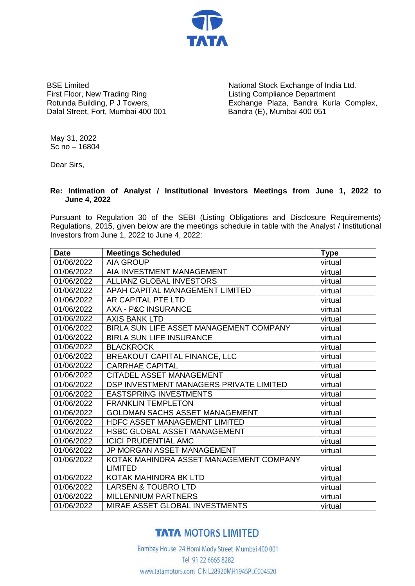

BSE Limited First Floor, New Trading Ring Rotunda Building, P J Towers, Dalal Street, Fort, Mumbai 400 001

National Stock Exchange of India Ltd. Listing Compliance Department Exchange Plaza, Bandra Kurla Complex, Bandra (E), Mumbai 400 051

May 31, 2022 Sc no – 16804

Dear Sirs,

## **Re: Intimation of Analyst / Institutional Investors Meetings from June 1, 2022 to June 4, 2022**

Pursuant to Regulation 30 of the SEBI (Listing Obligations and Disclosure Requirements) Regulations, 2015, given below are the meetings schedule in table with the Analyst / Institutional Investors from June 1, 2022 to June 4, 2022:

| <b>Date</b> | <b>Meetings Scheduled</b>               | <b>Type</b> |
|-------------|-----------------------------------------|-------------|
| 01/06/2022  | <b>AIA GROUP</b>                        | virtual     |
| 01/06/2022  | AIA INVESTMENT MANAGEMENT               | virtual     |
| 01/06/2022  | <b>ALLIANZ GLOBAL INVESTORS</b>         | virtual     |
| 01/06/2022  | APAH CAPITAL MANAGEMENT LIMITED         | virtual     |
| 01/06/2022  | AR CAPITAL PTE LTD                      | virtual     |
| 01/06/2022  | <b>AXA - P&amp;C INSURANCE</b>          | virtual     |
| 01/06/2022  | <b>AXIS BANK LTD</b>                    | virtual     |
| 01/06/2022  | BIRLA SUN LIFE ASSET MANAGEMENT COMPANY | virtual     |
| 01/06/2022  | <b>BIRLA SUN LIFE INSURANCE</b>         | virtual     |
| 01/06/2022  | <b>BLACKROCK</b>                        | virtual     |
| 01/06/2022  | <b>BREAKOUT CAPITAL FINANCE, LLC</b>    | virtual     |
| 01/06/2022  | <b>CARRHAE CAPITAL</b>                  | virtual     |
| 01/06/2022  | CITADEL ASSET MANAGEMENT                | virtual     |
| 01/06/2022  | DSP INVESTMENT MANAGERS PRIVATE LIMITED | virtual     |
| 01/06/2022  | <b>EASTSPRING INVESTMENTS</b>           | virtual     |
| 01/06/2022  | <b>FRANKLIN TEMPLETON</b>               | virtual     |
| 01/06/2022  | <b>GOLDMAN SACHS ASSET MANAGEMENT</b>   | virtual     |
| 01/06/2022  | HDFC ASSET MANAGEMENT LIMITED           | virtual     |
| 01/06/2022  | <b>HSBC GLOBAL ASSET MANAGEMENT</b>     | virtual     |
| 01/06/2022  | <b>ICICI PRUDENTIAL AMC</b>             | virtual     |
| 01/06/2022  | <b>JP MORGAN ASSET MANAGEMENT</b>       | virtual     |
| 01/06/2022  | KOTAK MAHINDRA ASSET MANAGEMENT COMPANY |             |
|             | <b>LIMITED</b>                          | virtual     |
| 01/06/2022  | KOTAK MAHINDRA BK LTD                   | virtual     |
| 01/06/2022  | <b>LARSEN &amp; TOUBRO LTD</b>          | virtual     |
| 01/06/2022  | <b>MILLENNIUM PARTNERS</b>              | virtual     |
| 01/06/2022  | MIRAE ASSET GLOBAL INVESTMENTS          | virtual     |

## **TATA MOTORS LIMITED**

Bombay House 24 Homi Mody Street Mumbai 400 001 Tel 91 22 6665 8282 www.tatamotors.com CIN L28920MH1945PLC004520